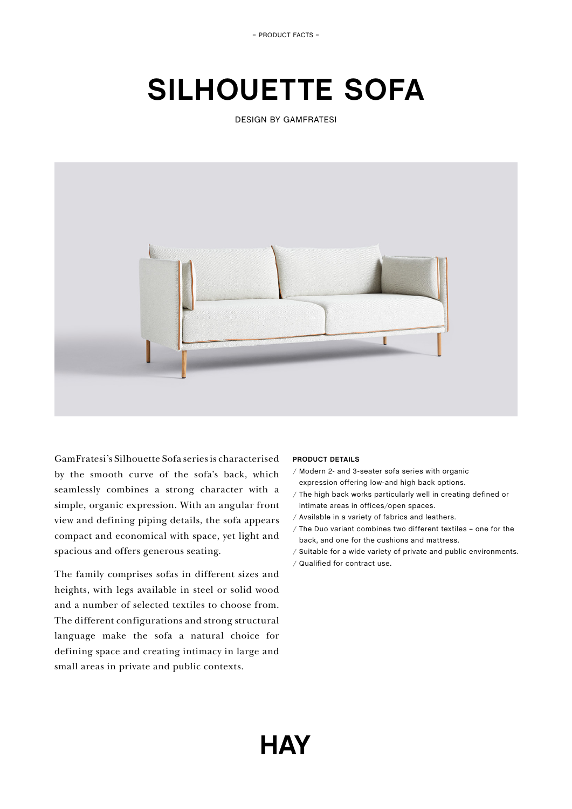– PRODUCT FACTS –

# **SILHOUETTE SOFA**

DESIGN BY GAMFRATESI



GamFratesi's Silhouette Sofa series is characterised by the smooth curve of the sofa's back, which seamlessly combines a strong character with a simple, organic expression. With an angular front view and defining piping details, the sofa appears compact and economical with space, yet light and spacious and offers generous seating.

The family comprises sofas in different sizes and heights, with legs available in steel or solid wood and a number of selected textiles to choose from. The different configurations and strong structural language make the sofa a natural choice for defining space and creating intimacy in large and small areas in private and public contexts.

# **PRODUCT DETAILS**

- / Modern 2- and 3-seater sofa series with organic expression offering low-and high back options.
- / The high back works particularly well in creating defined or intimate areas in offices/open spaces.
- / Available in a variety of fabrics and leathers.
- / The Duo variant combines two different textiles one for the back, and one for the cushions and mattress.
- / Suitable for a wide variety of private and public environments.
- / Qualified for contract use.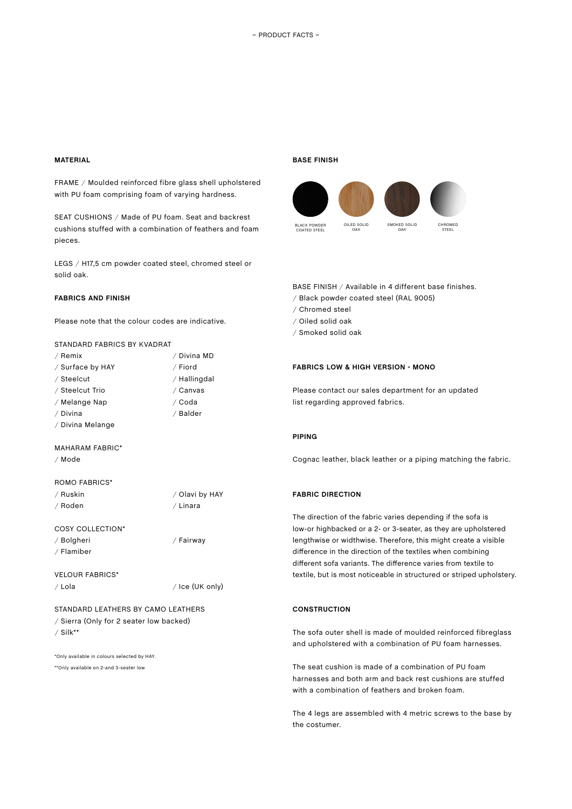# **MATERIAL**

FRAME / Moulded reinforced fibre glass shell upholstered with PU foam comprising foam of varying hardness.

SEAT CUSHIONS / Made of PU foam. Seat and backrest cushions stuffed with a combination of feathers and foam pieces.

LEGS / H17,5 cm powder coated steel, chromed steel or solid oak.

#### **FABRICS AND FINISH**

Please note that the colour codes are indicative.

## STANDARD FABRICS BY KVADRAT

| / Remix          | / Divina MD  |
|------------------|--------------|
| / Surface by HAY | / Fiord      |
| / Steelcut       | / Hallingdal |
| / Steelcut Trio  | / Canvas     |
| / Melange Nap    | ∕ Coda       |
| / Divina         | / Balder     |
| / Divina Melange |              |
|                  |              |

## MAHARAM FABRIC\*

/ Mode

#### ROMO FABRICS\*

| / Ruskin | / Olavi b |
|----------|-----------|
| / Roden  | / Linara  |

COSY COLLECTION\*

/ Bolgheri / Flamiber

VELOUR FABRICS\* / Lola / Ice (UK only)

/ Fairway

by HAY

STANDARD LEATHERS BY CAMO LEATHERS / Sierra (Only for 2 seater low backed) / Silk\*\*

\*Only available in colours selected by HAY. \*\*Only available on 2-and 3-seater low

#### **BASE FINISH**



BASE FINISH / Available in 4 different base finishes.

- / Black powder coated steel (RAL 9005)
- / Chromed steel
- / Oiled solid oak
- / Smoked solid oak

#### **FABRICS LOW & HIGH VERSION - MONO**

Please contact our sales department for an updated list regarding approved fabrics.

#### **PIPING**

Cognac leather, black leather or a piping matching the fabric.

## **FABRIC DIRECTION**

The direction of the fabric varies depending if the sofa is low-or highbacked or a 2- or 3-seater, as they are upholstered lengthwise or widthwise. Therefore, this might create a visible difference in the direction of the textiles when combining different sofa variants. The difference varies from textile to textile, but is most noticeable in structured or striped upholstery.

#### **CONSTRUCTION**

The sofa outer shell is made of moulded reinforced fibreglass and upholstered with a combination of PU foam harnesses.

The seat cushion is made of a combination of PU foam harnesses and both arm and back rest cushions are stuffed with a combination of feathers and broken foam.

The 4 legs are assembled with 4 metric screws to the base by the costumer.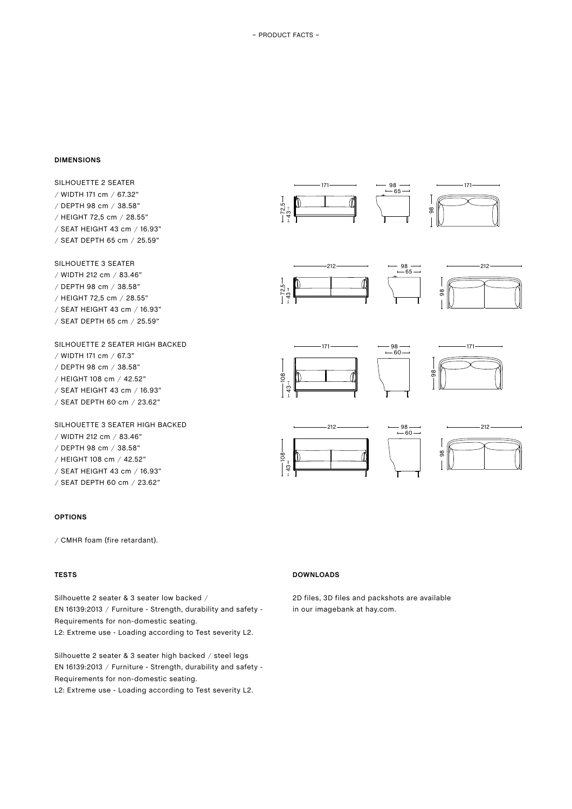#### **DIMENSIONS**

SILHOUETTE 2 SEATER / WIDTH 171 cm / 67.32" / DEPTH 98 cm / 38.58" / HEIGHT 72,5 cm / 28.55" / SEAT HEIGHT 43 cm / 16.93" / SEAT DEPTH 65 cm / 25.59"

SILHOUETTE 3 SEATER

- / WIDTH 212 cm / 83.46" / DEPTH 98 cm / 38.58" / HEIGHT 72,5 cm / 28.55"
- / SEAT HEIGHT 43 cm / 16.93"
- / SEAT DEPTH 65 cm / 25.59"

SILHOUETTE 2 SEATER HIGH BACKED / WIDTH 171 cm / 67.3" / DEPTH 98 cm / 38.58" / HEIGHT 108 cm / 42.52" / SEAT HEIGHT 43 cm / 16.93" / SEAT DEPTH 60 cm / 23.62"

SILHOUETTE 3 SEATER HIGH BACKED / WIDTH 212 cm / 83.46" / DEPTH 98 cm / 38.58" / HEIGHT 108 cm / 42.52" / SEAT HEIGHT 43 cm / 16.93" / SEAT DEPTH 60 cm / 23.62"

#### **OPTIONS**

/ CMHR foam (fire retardant).

# **TESTS**

Silhouette 2 seater & 3 seater low backed / EN 16139:2013 / Furniture - Strength, durability and safety - Requirements for non-domestic seating. L2: Extreme use - Loading according to Test severity L2.

Silhouette 2 seater & 3 seater high backed / steel legs EN 16139:2013 / Furniture - Strength, durability and safety - Requirements for non-domestic seating.

L2: Extreme use - Loading according to Test severity L2.













#### **DOWNLOADS**

2D files, 3D files and packshots are available in our imagebank at hay.com.